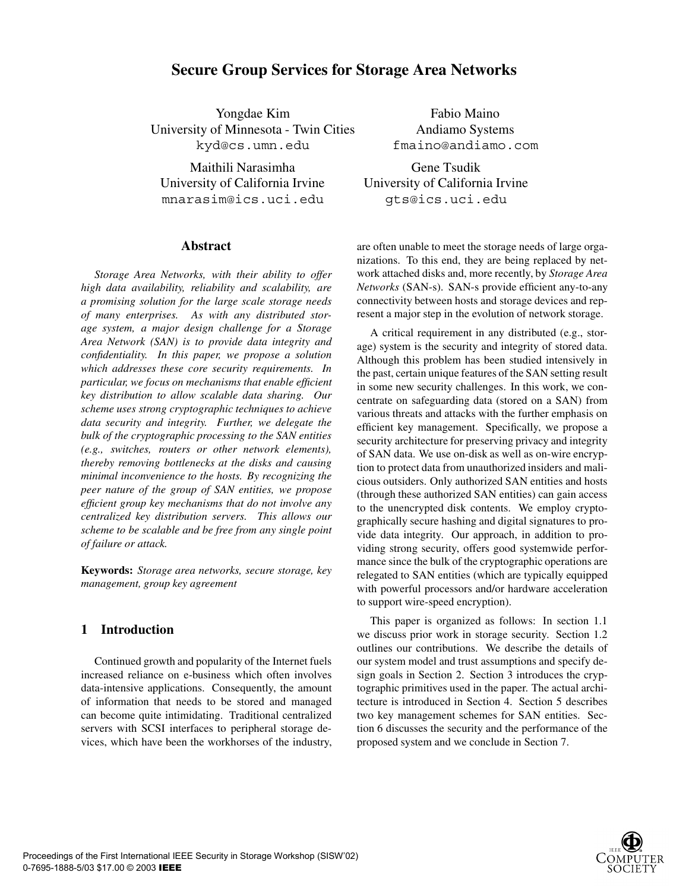# **Secure Group Services for Storage Area Networks**

Yongdae Kim University of Minnesota - Twin Cities kyd@cs.umn.edu

Maithili Narasimha University of California Irvine mnarasim@ics.uci.edu

#### **Abstract**

*Storage Area Networks, with their ability to offer high data availability, reliability and scalability, are a promising solution for the large scale storage needs of many enterprises. As with any distributed storage system, a major design challenge for a Storage Area Network (SAN) is to provide data integrity and confidentiality. In this paper, we propose a solution which addresses these core security requirements. In particular, we focus on mechanisms that enable efficient key distribution to allow scalable data sharing. Our scheme uses strong cryptographic techniques to achieve data security and integrity. Further, we delegate the bulk of the cryptographic processing to the SAN entities (e.g., switches, routers or other network elements), thereby removing bottlenecks at the disks and causing minimal inconvenience to the hosts. By recognizing the peer nature of the group of SAN entities, we propose efficient group key mechanisms that do not involve any centralized key distribution servers. This allows our scheme to be scalable and be free from any single point of failure or attack.*

**Keywords:** *Storage area networks, secure storage, key management, group key agreement*

### **1 Introduction**

Continued growth and popularity of the Internet fuels increased reliance on e-business which often involves data-intensive applications. Consequently, the amount of information that needs to be stored and managed can become quite intimidating. Traditional centralized servers with SCSI interfaces to peripheral storage devices, which have been the workhorses of the industry,

Fabio Maino Andiamo Systems fmaino@andiamo.com

Gene Tsudik University of California Irvine gts@ics.uci.edu

are often unable to meet the storage needs of large organizations. To this end, they are being replaced by network attached disks and, more recently, by *Storage Area Networks* (SAN-s). SAN-s provide efficient any-to-any connectivity between hosts and storage devices and represent a major step in the evolution of network storage.

A critical requirement in any distributed (e.g., storage) system is the security and integrity of stored data. Although this problem has been studied intensively in the past, certain unique features of the SAN setting result in some new security challenges. In this work, we concentrate on safeguarding data (stored on a SAN) from various threats and attacks with the further emphasis on efficient key management. Specifically, we propose a security architecture for preserving privacy and integrity of SAN data. We use on-disk as well as on-wire encryption to protect data from unauthorized insiders and malicious outsiders. Only authorized SAN entities and hosts (through these authorized SAN entities) can gain access to the unencrypted disk contents. We employ cryptographically secure hashing and digital signatures to provide data integrity. Our approach, in addition to providing strong security, offers good systemwide performance since the bulk of the cryptographic operations are relegated to SAN entities (which are typically equipped with powerful processors and/or hardware acceleration to support wire-speed encryption).

This paper is organized as follows: In section 1.1 we discuss prior work in storage security. Section 1.2 outlines our contributions. We describe the details of our system model and trust assumptions and specify design goals in Section 2. Section 3 introduces the cryptographic primitives used in the paper. The actual architecture is introduced in Section 4. Section 5 describes two key management schemes for SAN entities. Section 6 discusses the security and the performance of the proposed system and we conclude in Section 7.

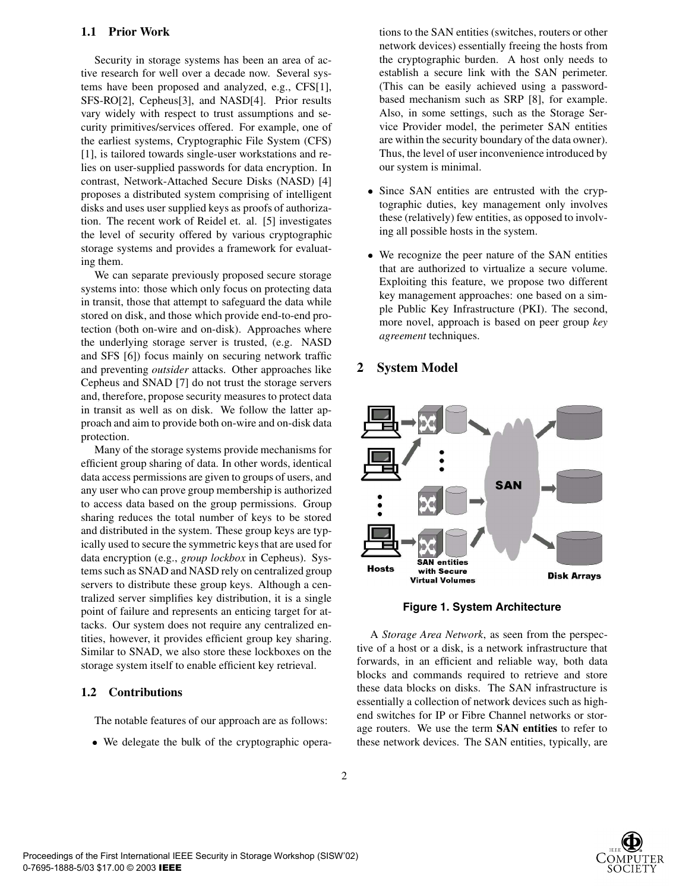### **1.1 Prior Work**

Security in storage systems has been an area of active research for well over a decade now. Several systems have been proposed and analyzed, e.g., CFS[1], SFS-RO[2], Cepheus[3], and NASD[4]. Prior results vary widely with respect to trust assumptions and security primitives/services offered. For example, one of the earliest systems, Cryptographic File System (CFS) [1], is tailored towards single-user workstations and relies on user-supplied passwords for data encryption. In contrast, Network-Attached Secure Disks (NASD) [4] proposes a distributed system comprising of intelligent disks and uses user supplied keys as proofs of authorization. The recent work of Reidel et. al. [5] investigates the level of security offered by various cryptographic storage systems and provides a framework for evaluating them.

We can separate previously proposed secure storage systems into: those which only focus on protecting data in transit, those that attempt to safeguard the data while stored on disk, and those which provide end-to-end protection (both on-wire and on-disk). Approaches where the underlying storage server is trusted, (e.g. NASD and SFS [6]) focus mainly on securing network traffic and preventing *outsider* attacks. Other approaches like Cepheus and SNAD [7] do not trust the storage servers and, therefore, propose security measures to protect data in transit as well as on disk. We follow the latter approach and aim to provide both on-wire and on-disk data protection.

Many of the storage systems provide mechanisms for efficient group sharing of data. In other words, identical data access permissions are given to groups of users, and any user who can prove group membership is authorized to access data based on the group permissions. Group sharing reduces the total number of keys to be stored and distributed in the system. These group keys are typically used to secure the symmetric keys that are used for data encryption (e.g., *group lockbox* in Cepheus). Systems such as SNAD and NASD rely on centralized group servers to distribute these group keys. Although a centralized server simplifies key distribution, it is a single point of failure and represents an enticing target for attacks. Our system does not require any centralized entities, however, it provides efficient group key sharing. Similar to SNAD, we also store these lockboxes on the storage system itself to enable efficient key retrieval.

### **1.2 Contributions**

The notable features of our approach are as follows:

We delegate the bulk of the cryptographic opera-

tions to the SAN entities (switches, routers or other network devices) essentially freeing the hosts from the cryptographic burden. A host only needs to establish a secure link with the SAN perimeter. (This can be easily achieved using a passwordbased mechanism such as SRP [8], for example. Also, in some settings, such as the Storage Service Provider model, the perimeter SAN entities are within the security boundary of the data owner). Thus, the level of user inconvenience introduced by our system is minimal.

- Since SAN entities are entrusted with the cryptographic duties, key management only involves these (relatively) few entities, as opposed to involving all possible hosts in the system.
- We recognize the peer nature of the SAN entities that are authorized to virtualize a secure volume. Exploiting this feature, we propose two different key management approaches: one based on a simple Public Key Infrastructure (PKI). The second, more novel, approach is based on peer group *key agreement* techniques.

### **2 System Model**



**Figure 1. System Architecture**

A *Storage Area Network*, as seen from the perspective of a host or a disk, is a network infrastructure that forwards, in an efficient and reliable way, both data blocks and commands required to retrieve and store these data blocks on disks. The SAN infrastructure is essentially a collection of network devices such as highend switches for IP or Fibre Channel networks or storage routers. We use the term **SAN entities** to refer to these network devices. The SAN entities, typically, are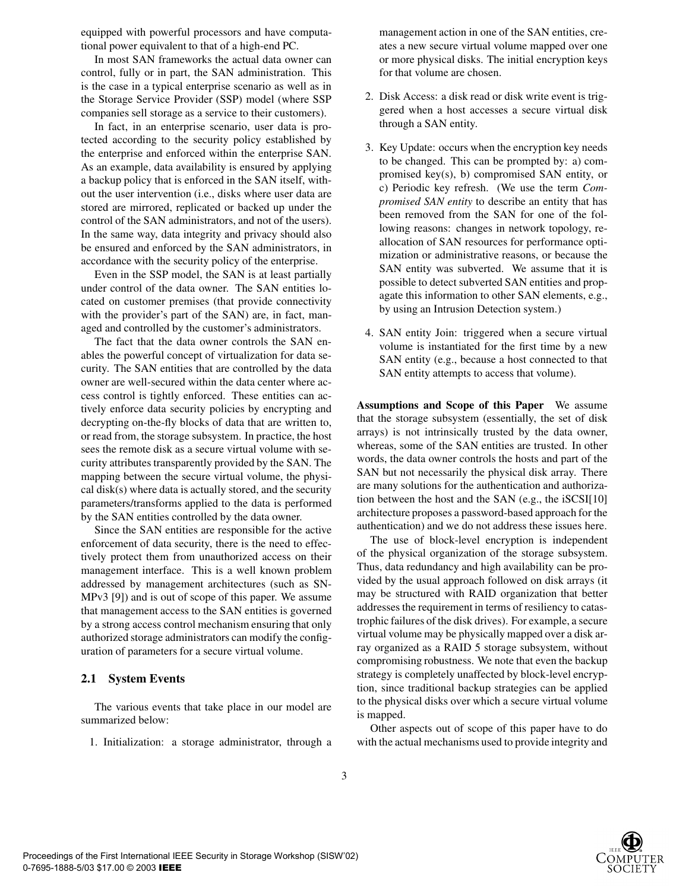equipped with powerful processors and have computational power equivalent to that of a high-end PC.

In most SAN frameworks the actual data owner can control, fully or in part, the SAN administration. This is the case in a typical enterprise scenario as well as in the Storage Service Provider (SSP) model (where SSP companies sell storage as a service to their customers).

In fact, in an enterprise scenario, user data is protected according to the security policy established by the enterprise and enforced within the enterprise SAN. As an example, data availability is ensured by applying a backup policy that is enforced in the SAN itself, without the user intervention (i.e., disks where user data are stored are mirrored, replicated or backed up under the control of the SAN administrators, and not of the users). In the same way, data integrity and privacy should also be ensured and enforced by the SAN administrators, in accordance with the security policy of the enterprise.

Even in the SSP model, the SAN is at least partially under control of the data owner. The SAN entities located on customer premises (that provide connectivity with the provider's part of the SAN) are, in fact, managed and controlled by the customer's administrators.

The fact that the data owner controls the SAN enables the powerful concept of virtualization for data security. The SAN entities that are controlled by the data owner are well-secured within the data center where access control is tightly enforced. These entities can actively enforce data security policies by encrypting and decrypting on-the-fly blocks of data that are written to, or read from, the storage subsystem. In practice, the host sees the remote disk as a secure virtual volume with security attributes transparently provided by the SAN. The mapping between the secure virtual volume, the physical disk(s) where data is actually stored, and the security parameters/transforms applied to the data is performed by the SAN entities controlled by the data owner.

Since the SAN entities are responsible for the active enforcement of data security, there is the need to effectively protect them from unauthorized access on their management interface. This is a well known problem addressed by management architectures (such as SN-MPv3 [9]) and is out of scope of this paper. We assume that management access to the SAN entities is governed by a strong access control mechanism ensuring that only authorized storage administrators can modify the configuration of parameters for a secure virtual volume.

### **2.1 System Events**

The various events that take place in our model are summarized below:

1. Initialization: a storage administrator, through a

management action in one of the SAN entities, creates a new secure virtual volume mapped over one or more physical disks. The initial encryption keys for that volume are chosen.

- 2. Disk Access: a disk read or disk write event is triggered when a host accesses a secure virtual disk through a SAN entity.
- 3. Key Update: occurs when the encryption key needs to be changed. This can be prompted by: a) compromised key(s), b) compromised SAN entity, or c) Periodic key refresh. (We use the term *Compromised SAN entity* to describe an entity that has been removed from the SAN for one of the following reasons: changes in network topology, reallocation of SAN resources for performance optimization or administrative reasons, or because the SAN entity was subverted. We assume that it is possible to detect subverted SAN entities and propagate this information to other SAN elements, e.g., by using an Intrusion Detection system.)
- 4. SAN entity Join: triggered when a secure virtual volume is instantiated for the first time by a new SAN entity (e.g., because a host connected to that SAN entity attempts to access that volume).

**Assumptions and Scope of this Paper** We assume that the storage subsystem (essentially, the set of disk arrays) is not intrinsically trusted by the data owner, whereas, some of the SAN entities are trusted. In other words, the data owner controls the hosts and part of the SAN but not necessarily the physical disk array. There are many solutions for the authentication and authorization between the host and the SAN (e.g., the iSCSI[10] architecture proposes a password-based approach for the authentication) and we do not address these issues here.

The use of block-level encryption is independent of the physical organization of the storage subsystem. Thus, data redundancy and high availability can be provided by the usual approach followed on disk arrays (it may be structured with RAID organization that better addresses the requirement in terms of resiliency to catastrophic failures of the disk drives). For example, a secure virtual volume may be physically mapped over a disk array organized as a RAID 5 storage subsystem, without compromising robustness. We note that even the backup strategy is completely unaffected by block-level encryption, since traditional backup strategies can be applied to the physical disks over which a secure virtual volume is mapped.

Other aspects out of scope of this paper have to do with the actual mechanisms used to provide integrity and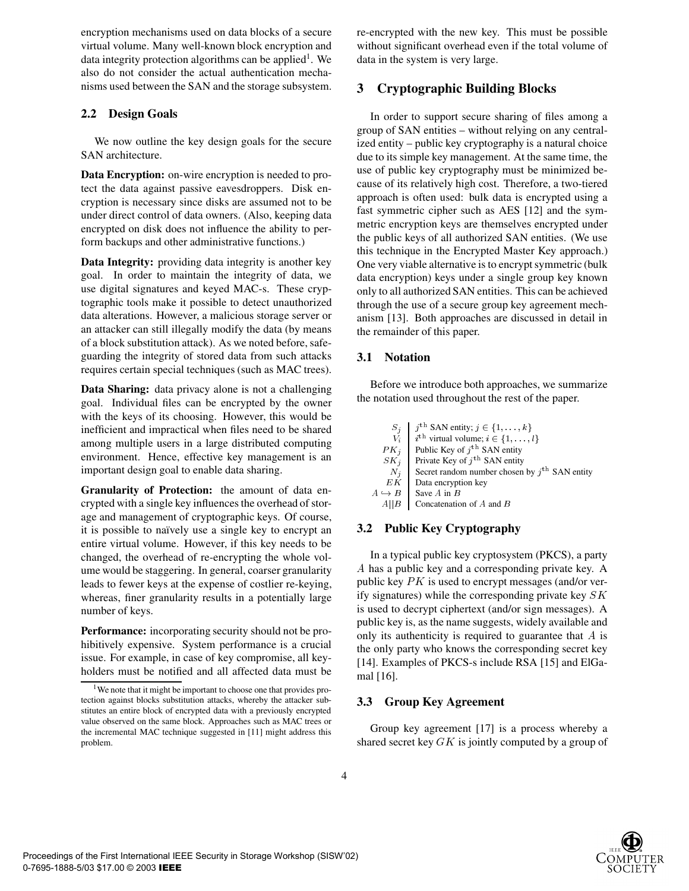encryption mechanisms used on data blocks of a secure virtual volume. Many well-known block encryption and data integrity protection algorithms can be applied<sup>1</sup>. We also do not consider the actual authentication mechanisms used between the SAN and the storage subsystem.

## **2.2 Design Goals**

We now outline the key design goals for the secure SAN architecture.

**Data Encryption:** on-wire encryption is needed to protect the data against passive eavesdroppers. Disk encryption is necessary since disks are assumed not to be under direct control of data owners. (Also, keeping data encrypted on disk does not influence the ability to perform backups and other administrative functions.)

**Data Integrity:** providing data integrity is another key goal. In order to maintain the integrity of data, we use digital signatures and keyed MAC-s. These cryptographic tools make it possible to detect unauthorized data alterations. However, a malicious storage server or an attacker can still illegally modify the data (by means of a block substitution attack). As we noted before, safeguarding the integrity of stored data from such attacks requires certain special techniques (such as MAC trees).

**Data Sharing:** data privacy alone is not a challenging goal. Individual files can be encrypted by the owner with the keys of its choosing. However, this would be inefficient and impractical when files need to be shared among multiple users in a large distributed computing environment. Hence, effective key management is an important design goal to enable data sharing.

**Granularity of Protection:** the amount of data encrypted with a single key influences the overhead of storage and management of cryptographic keys. Of course, it is possible to naïvely use a single key to encrypt an entire virtual volume. However, if this key needs to be changed, the overhead of re-encrypting the whole volume would be staggering. In general, coarser granularity leads to fewer keys at the expense of costlier re-keying, whereas, finer granularity results in a potentially large number of keys.

**Performance:** incorporating security should not be prohibitively expensive. System performance is a crucial issue. For example, in case of key compromise, all keyholders must be notified and all affected data must be re-encrypted with the new key. This must be possible without significant overhead even if the total volume of data in the system is very large.

# **3 Cryptographic Building Blocks**

In order to support secure sharing of files among a group of SAN entities – without relying on any centralized entity – public key cryptography is a natural choice due to its simple key management. At the same time, the use of public key cryptography must be minimized because of its relatively high cost. Therefore, a two-tiered approach is often used: bulk data is encrypted using a fast symmetric cipher such as AES [12] and the symmetric encryption keys are themselves encrypted under the public keys of all authorized SAN entities. (We use this technique in the Encrypted Master Key approach.) One very viable alternative is to encrypt symmetric (bulk data encryption) keys under a single group key known only to all authorized SAN entities. This can be achieved through the use of a secure group key agreement mechanism [13]. Both approaches are discussed in detail in the remainder of this paper.

### **3.1 Notation**

Before we introduce both approaches, we summarize the notation used throughout the rest of the paper.

|                                           | $j^{\text{th}}$ SAN entity; $j \in \{1, \ldots, k\}$      |
|-------------------------------------------|-----------------------------------------------------------|
| $\begin{array}{c} S_j \\ V_i \end{array}$ | $i^{\text{th}}$ virtual volume; $i \in \{1, \ldots, l\}$  |
| $PK_i$                                    | Public Key of $j^{\text{th}}$ SAN entity                  |
| $SK_j$                                    | Private Key of $j^{\text{th}}$ SAN entity                 |
| $N_i$                                     | Secret random number chosen by $j^{\text{th}}$ SAN entity |
| ЕK                                        | Data encryption key                                       |
| $A \hookrightarrow B$                     | Save $A$ in $B$                                           |
| A  B                                      | Concatenation of $A$ and $B$                              |
|                                           |                                                           |

# **3.2 Public Key Cryptography**

In a typical public key cryptosystem (PKCS), a party A has a public key and a corresponding private key. A public key  $PK$  is used to encrypt messages (and/or verify signatures) while the corresponding private key  $SK$ is used to decrypt ciphertext (and/or sign messages). A public key is, as the name suggests, widely available and only its authenticity is required to guarantee that  $A$  is the only party who knows the corresponding secret key [14]. Examples of PKCS-s include RSA [15] and ElGamal [16].

## **3.3 Group Key Agreement**

Group key agreement [17] is a process whereby a shared secret key  $GK$  is jointly computed by a group of

<sup>&</sup>lt;sup>1</sup>We note that it might be important to choose one that provides protection against blocks substitution attacks, whereby the attacker substitutes an entire block of encrypted data with a previously encrypted value observed on the same block. Approaches such as MAC trees or the incremental MAC technique suggested in [11] might address this problem.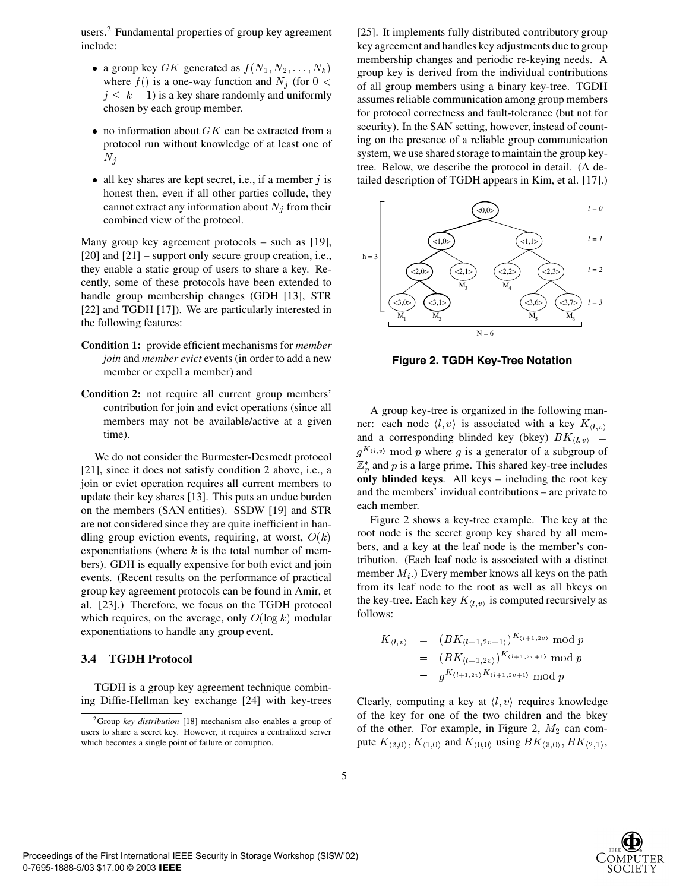users.<sup>2</sup> Fundamental properties of group key agreement include:

- a group key *GK* generated as  $f(N_1, N_2, \ldots, N_k)$ where  $f()$  is a one-way function and  $N_i$  (for  $0 <$  $j \leq k - 1$ ) is a key share randomly and uniformly chosen by each group member.
- $\bullet$  no information about  $GK$  can be extracted from a protocol run without knowledge of at least one of  $N_i$
- all key shares are kept secret, i.e., if a member  $j$  is honest then, even if all other parties collude, they cannot extract any information about  $N_i$  from their combined view of the protocol.

Many group key agreement protocols – such as [19], [20] and  $[21]$  – support only secure group creation, i.e., they enable a static group of users to share a key. Recently, some of these protocols have been extended to handle group membership changes (GDH [13], STR [22] and TGDH [17]). We are particularly interested in the following features:

- **Condition 1:** provide efficient mechanisms for *member join* and *member evict* events (in order to add a new member or expell a member) and
- **Condition 2:** not require all current group members' contribution for join and evict operations (since all members may not be available/active at a given time).

We do not consider the Burmester-Desmedt protocol [21], since it does not satisfy condition 2 above, i.e., a join or evict operation requires all current members to update their key shares [13]. This puts an undue burden on the members (SAN entities). SSDW [19] and STR are not considered since they are quite inefficient in handling group eviction events, requiring, at worst,  $O(k)$ exponentiations (where  $k$  is the total number of members). GDH is equally expensive for both evict and join events. (Recent results on the performance of practical group key agreement protocols can be found in Amir, et al. [23].) Therefore, we focus on the TGDH protocol which requires, on the average, only  $O(\log k)$  modular exponentiations to handle any group event.

#### **3.4 TGDH Protocol**

TGDH is a group key agreement technique combining Diffie-Hellman key exchange [24] with key-trees [25]. It implements fully distributed contributory group key agreement and handles key adjustments due to group membership changes and periodic re-keying needs. A group key is derived from the individual contributions of all group members using a binary key-tree. TGDH assumes reliable communication among group members for protocol correctness and fault-tolerance (but not for security). In the SAN setting, however, instead of counting on the presence of a reliable group communication system, we use shared storage to maintain the group keytree. Below, we describe the protocol in detail. (A detailed description of TGDH appears in Kim, et al. [17].)



**Figure 2. TGDH Key-Tree Notation**

A group key-tree is organized in the following manner: each node  $\langle l, v \rangle$  is associated with a key  $K_{\langle l, v \rangle}$ and a corresponding blinded key (bkey)  $BK_{(l,v)}$  =  $g^{K_{(l,v)}}$  mod p where g is a generator of a subgroup of  $\mathbb{Z}_p^*$  and p is a large prime. This shared key-tree includes **only blinded keys**. All keys – including the root key and the members' invidual contributions – are private to each member.

Figure 2 shows a key-tree example. The key at the root node is the secret group key shared by all members, and a key at the leaf node is the member's contribution. (Each leaf node is associated with a distinct member  $M_i$ .) Every member knows all keys on the path from its leaf node to the root as well as all bkeys on the key-tree. Each key  $K_{(l,v)}$  is computed recursively as follows:

$$
K_{\langle l,v \rangle} = (BK_{\langle l+1,2v+1 \rangle})^{K_{\langle l+1,2v \rangle}} \mod p
$$
  
= 
$$
(BK_{\langle l+1,2v \rangle})^{K_{\langle l+1,2v+1 \rangle}} \mod p
$$
  
= 
$$
q^{K_{\langle l+1,2v \rangle}K_{\langle l+1,2v+1 \rangle}} \mod p
$$

Clearly, computing a key at  $\langle l, v \rangle$  requires knowledge of the key for one of the two children and the bkey of the other. For example, in Figure 2,  $M_2$  can compute  $K_{(2,0)}, K_{(1,0)}$  and  $K_{(0,0)}$  using  $BK_{(3,0)}, BK_{(2,1)}$ ,

<sup>2</sup>Group *key distribution* [18] mechanism also enables a group of users to share a secret key. However, it requires a centralized server which becomes a single point of failure or corruption.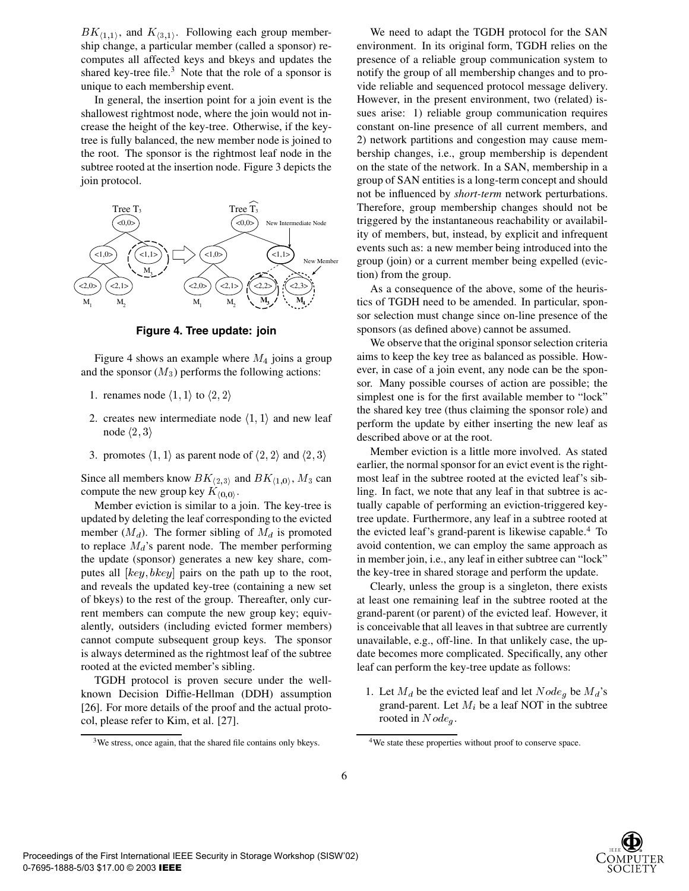$BK_{\langle 1,1\rangle}$ , and  $K_{\langle 3,1\rangle}$ . Following each group membership change, a particular member (called a sponsor) recomputes all affected keys and bkeys and updates the shared key-tree file. $3$  Note that the role of a sponsor is unique to each membership event.

In general, the insertion point for a join event is the shallowest rightmost node, where the join would not increase the height of the key-tree. Otherwise, if the keytree is fully balanced, the new member node is joined to the root. The sponsor is the rightmost leaf node in the subtree rooted at the insertion node. Figure 3 depicts the join protocol.



**Figure 4. Tree update: join**

Figure 4 shows an example where  $M_4$  joins a group and the sponsor  $(M_3)$  performs the following actions:

- 1. renames node  $\langle 1, 1 \rangle$  to  $\langle 2, 2 \rangle$
- 2. creates new intermediate node  $\langle 1, 1 \rangle$  and new leaf node  $\langle 2, 3 \rangle$
- 3. promotes  $\langle 1, 1 \rangle$  as parent node of  $\langle 2, 2 \rangle$  and  $\langle 2, 3 \rangle$

Since all members know  $BK_{(2,3)}$  and  $BK_{(1,0)}$ ,  $M_3$  can compute the new group key  $K_{(0,0)}$ .

Member eviction is similar to a join. The key-tree is updated by deleting the leaf corresponding to the evicted member  $(M_d)$ . The former sibling of  $M_d$  is promoted to replace  $M_d$ 's parent node. The member performing the update (sponsor) generates a new key share, computes all  $[key, bkey]$  pairs on the path up to the root, and reveals the updated key-tree (containing a new set of bkeys) to the rest of the group. Thereafter, only current members can compute the new group key; equivalently, outsiders (including evicted former members) cannot compute subsequent group keys. The sponsor is always determined as the rightmost leaf of the subtree rooted at the evicted member's sibling.

TGDH protocol is proven secure under the wellknown Decision Diffie-Hellman (DDH) assumption [26]. For more details of the proof and the actual protocol, please refer to Kim, et al. [27].

We need to adapt the TGDH protocol for the SAN environment. In its original form, TGDH relies on the presence of a reliable group communication system to notify the group of all membership changes and to provide reliable and sequenced protocol message delivery. However, in the present environment, two (related) issues arise: 1) reliable group communication requires constant on-line presence of all current members, and 2) network partitions and congestion may cause membership changes, i.e., group membership is dependent on the state of the network. In a SAN, membership in a group of SAN entities is a long-term concept and should not be influenced by *short-term* network perturbations. Therefore, group membership changes should not be triggered by the instantaneous reachability or availability of members, but, instead, by explicit and infrequent events such as: a new member being introduced into the group (join) or a current member being expelled (eviction) from the group.

As a consequence of the above, some of the heuristics of TGDH need to be amended. In particular, sponsor selection must change since on-line presence of the sponsors (as defined above) cannot be assumed.

We observe that the original sponsor selection criteria aims to keep the key tree as balanced as possible. However, in case of a join event, any node can be the sponsor. Many possible courses of action are possible; the simplest one is for the first available member to "lock" the shared key tree (thus claiming the sponsor role) and perform the update by either inserting the new leaf as described above or at the root.

Member eviction is a little more involved. As stated earlier, the normal sponsor for an evict event is the rightmost leaf in the subtree rooted at the evicted leaf's sibling. In fact, we note that any leaf in that subtree is actually capable of performing an eviction-triggered keytree update. Furthermore, any leaf in a subtree rooted at the evicted leaf's grand-parent is likewise capable.<sup>4</sup> To avoid contention, we can employ the same approach as in member join, i.e., any leaf in either subtree can "lock" the key-tree in shared storage and perform the update.

Clearly, unless the group is a singleton, there exists at least one remaining leaf in the subtree rooted at the grand-parent (or parent) of the evicted leaf. However, it is conceivable that all leaves in that subtree are currently unavailable, e.g., off-line. In that unlikely case, the update becomes more complicated. Specifically, any other leaf can perform the key-tree update as follows:

1. Let  $M_d$  be the evicted leaf and let  $Node_g$  be  $M_d$ 's grand-parent. Let  $M_i$  be a leaf NOT in the subtree rooted in  $Node_g$ .



<sup>&</sup>lt;sup>3</sup>We stress, once again, that the shared file contains only bkeys.

<sup>&</sup>lt;sup>4</sup>We state these properties without proof to conserve space.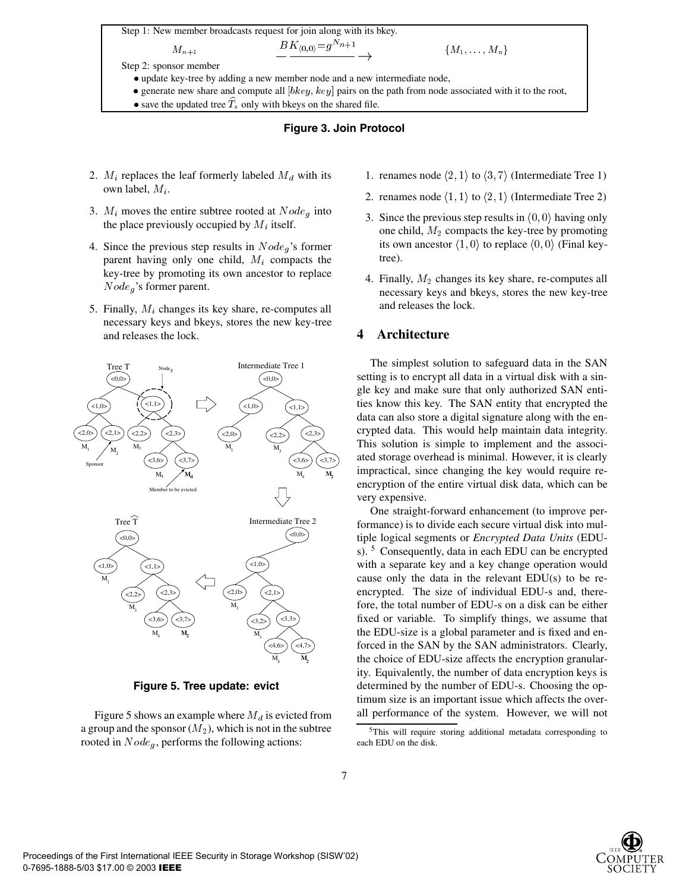

• save the updated tree  $T_s$  only with bkeys on the shared file.

### **Figure 3. Join Protocol**

- 2.  $M_i$  replaces the leaf formerly labeled  $M_d$  with its own label,  $M_i$ .
- 3.  $M_i$  moves the entire subtree rooted at  $Node_q$  into the place previously occupied by  $M_i$  itself.
- 4. Since the previous step results in  $Node<sub>q</sub>$ 's former parent having only one child,  $M_i$  compacts the key-tree by promoting its own ancestor to replace  $Node_g$ 's former parent.
- 5. Finally,  $M_i$  changes its key share, re-computes all necessary keys and bkeys, stores the new key-tree and releases the lock.



**Figure 5. Tree update: evict**

Figure 5 shows an example where  $M_d$  is evicted from a group and the sponsor  $(M_2)$ , which is not in the subtree rooted in  $Node_g$ , performs the following actions:

- 1. renames node  $\langle 2, 1 \rangle$  to  $\langle 3, 7 \rangle$  (Intermediate Tree 1)
- 2. renames node  $\langle 1, 1 \rangle$  to  $\langle 2, 1 \rangle$  (Intermediate Tree 2)
- 3. Since the previous step results in  $\langle 0, 0 \rangle$  having only one child,  $M<sub>2</sub>$  compacts the key-tree by promoting its own ancestor  $\langle 1, 0 \rangle$  to replace  $\langle 0, 0 \rangle$  (Final keytree).
- 4. Finally,  $M_2$  changes its key share, re-computes all necessary keys and bkeys, stores the new key-tree and releases the lock.

### **4 Architecture**

The simplest solution to safeguard data in the SAN setting is to encrypt all data in a virtual disk with a single key and make sure that only authorized SAN entities know this key. The SAN entity that encrypted the data can also store a digital signature along with the encrypted data. This would help maintain data integrity. This solution is simple to implement and the associated storage overhead is minimal. However, it is clearly impractical, since changing the key would require reencryption of the entire virtual disk data, which can be very expensive.

One straight-forward enhancement (to improve performance) is to divide each secure virtual disk into multiple logical segments or *Encrypted Data Units* (EDUs). <sup>5</sup> Consequently, data in each EDU can be encrypted with a separate key and a key change operation would cause only the data in the relevant EDU(s) to be reencrypted. The size of individual EDU-s and, therefore, the total number of EDU-s on a disk can be either fixed or variable. To simplify things, we assume that the EDU-size is a global parameter and is fixed and enforced in the SAN by the SAN administrators. Clearly, the choice of EDU-size affects the encryption granularity. Equivalently, the number of data encryption keys is determined by the number of EDU-s. Choosing the optimum size is an important issue which affects the overall performance of the system. However, we will not

<sup>&</sup>lt;sup>5</sup>This will require storing additional metadata corresponding to each EDU on the disk.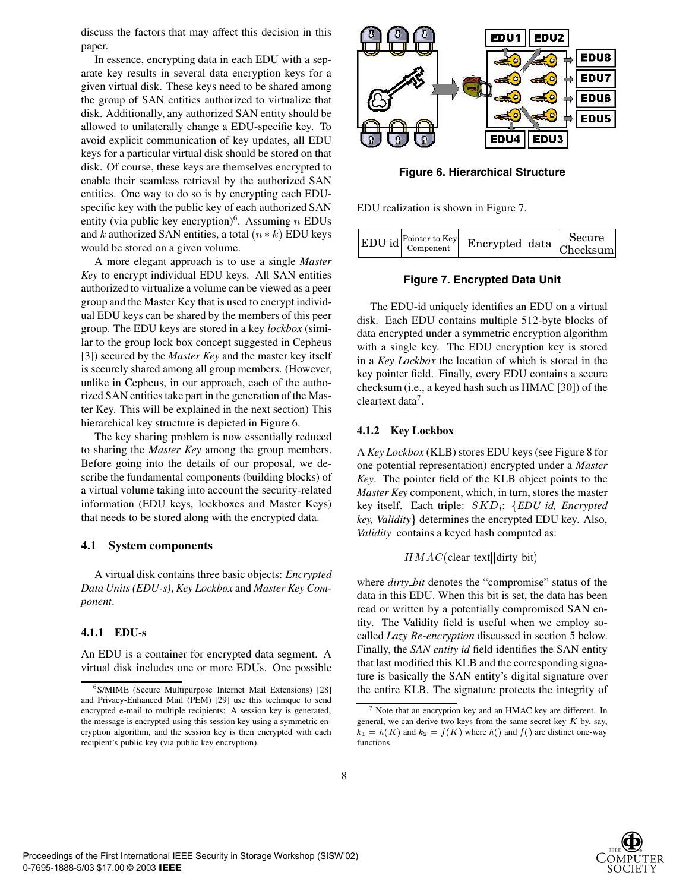discuss the factors that may affect this decision in this paper.

In essence, encrypting data in each EDU with a separate key results in several data encryption keys for a given virtual disk. These keys need to be shared among the group of SAN entities authorized to virtualize that disk. Additionally, any authorized SAN entity should be allowed to unilaterally change a EDU-specific key. To avoid explicit communication of key updates, all EDU keys for a particular virtual disk should be stored on that disk. Of course, these keys are themselves encrypted to enable their seamless retrieval by the authorized SAN entities. One way to do so is by encrypting each EDUspecific key with the public key of each authorized SAN entity (via public key encryption)<sup>6</sup>. Assuming  $n$  EDUs and k authorized SAN entities, a total  $(n * k)$  EDU keys would be stored on a given volume.

A more elegant approach is to use a single *Master Key* to encrypt individual EDU keys. All SAN entities authorized to virtualize a volume can be viewed as a peer group and the Master Key that is used to encrypt individual EDU keys can be shared by the members of this peer group. The EDU keys are stored in a key *lockbox* (similar to the group lock box concept suggested in Cepheus [3]) secured by the *Master Key* and the master key itself is securely shared among all group members. (However, unlike in Cepheus, in our approach, each of the authorized SAN entities take part in the generation of the Master Key. This will be explained in the next section) This hierarchical key structure is depicted in Figure 6.

The key sharing problem is now essentially reduced to sharing the *Master Key* among the group members. Before going into the details of our proposal, we describe the fundamental components (building blocks) of a virtual volume taking into account the security-related information (EDU keys, lockboxes and Master Keys) that needs to be stored along with the encrypted data.

#### **4.1 System components**

A virtual disk contains three basic objects: *Encrypted Data Units (EDU-s)*, *Key Lockbox* and *Master Key Component*.

#### **4.1.1 EDU-s**

An EDU is a container for encrypted data segment. A virtual disk includes one or more EDUs. One possible



**Figure 6. Hierarchical Structure**

EDU realization is shown in Figure 7.

| $\left \text{EDU id}\right _{\text{Component}}^{\text{Pointer to Key}}$ | $\therefore$ Encrypted data Checksur | Secure |
|-------------------------------------------------------------------------|--------------------------------------|--------|
|-------------------------------------------------------------------------|--------------------------------------|--------|

#### **Figure 7. Encrypted Data Unit**

The EDU-id uniquely identifies an EDU on a virtual disk. Each EDU contains multiple 512-byte blocks of data encrypted under a symmetric encryption algorithm with a single key. The EDU encryption key is stored in a *Key Lockbox* the location of which is stored in the key pointer field. Finally, every EDU contains a secure checksum (i.e., a keyed hash such as HMAC [30]) of the cleartext data $<sup>7</sup>$ .</sup>

#### **4.1.2 Key Lockbox**

A *Key Lockbox* (KLB) stores EDU keys (see Figure 8 for one potential representation) encrypted under a *Master Key*. The pointer field of the KLB object points to the *Master Key* component, which, in turn, stores the master key itself. Each triple:  $SKD_i$ : *{EDU id, Encrypted key, Validity*} determines the encrypted EDU key. Also, *Validity* contains a keyed hash computed as:

 $HMAC$ (clear\_text|dirty\_bit)

where *dirty bit* denotes the "compromise" status of the data in this EDU. When this bit is set, the data has been read or written by a potentially compromised SAN entity. The Validity field is useful when we employ socalled *Lazy Re-encryption* discussed in section 5 below. Finally, the *SAN entity id* field identifies the SAN entity that last modified this KLB and the corresponding signature is basically the SAN entity's digital signature over the entire KLB. The signature protects the integrity of

<sup>6</sup>S/MIME (Secure Multipurpose Internet Mail Extensions) [28] and Privacy-Enhanced Mail (PEM) [29] use this technique to send encrypted e-mail to multiple recipients: A session key is generated, the message is encrypted using this session key using a symmetric encryption algorithm, and the session key is then encrypted with each recipient's public key (via public key encryption).

Note that an encryption key and an HMAC key are different. In general, we can derive two keys from the same secret key  $K$  by, say,  $k_1 = h(K)$  and  $k_2 = f(K)$  where  $h()$  and  $f()$  are distinct one-way functions.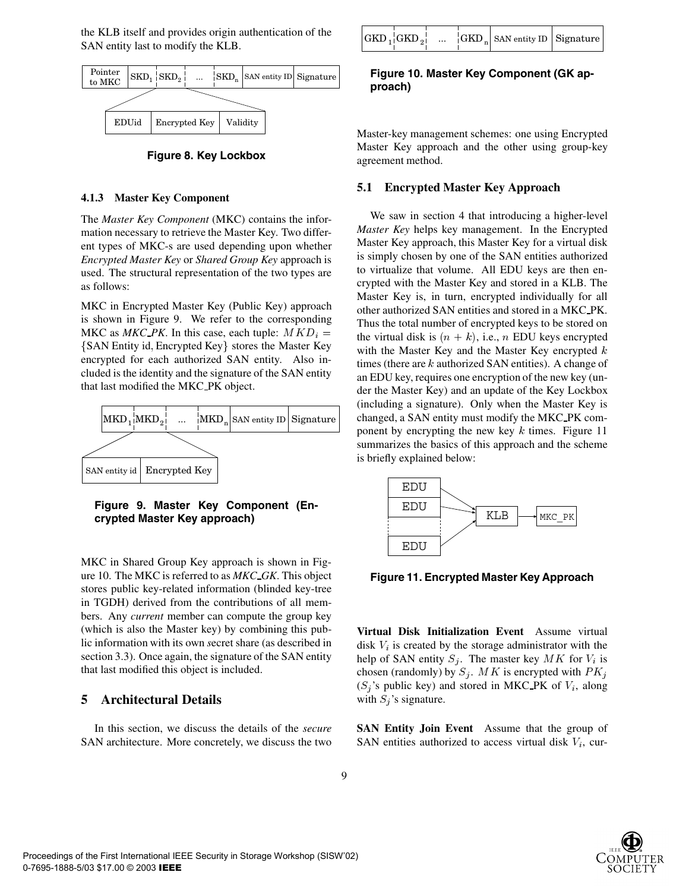the KLB itself and provides origin authentication of the SAN entity last to modify the KLB.



**Figure 8. Key Lockbox**

#### **4.1.3 Master Key Component**

The *Master Key Component* (MKC) contains the information necessary to retrieve the Master Key. Two different types of MKC-s are used depending upon whether *Encrypted Master Key* or *Shared Group Key* approach is used. The structural representation of the two types are as follows:

MKC in Encrypted Master Key (Public Key) approach is shown in Figure 9. We refer to the corresponding MKC as *MKC\_PK*. In this case, each tuple:  $MKD_i =$ {SAN Entity id, Encrypted Key} stores the Master Key encrypted for each authorized SAN entity. Also included is the identity and the signature of the SAN entity that last modified the MKC PK object.



**Figure 9. Master Key Component (Encrypted Master Key approach)**

MKC in Shared Group Key approach is shown in Figure 10. The MKC is referred to as *MKC GK*. This object stores public key-related information (blinded key-tree in TGDH) derived from the contributions of all members. Any *current* member can compute the group key (which is also the Master key) by combining this public information with its own *s*ecret share (as described in section 3.3). Once again, the signature of the SAN entity that last modified this object is included.

## **5 Architectural Details**

In this section, we discuss the details of the *secure* SAN architecture. More concretely, we discuss the two

### **Figure 10. Master Key Component (GK approach)**

Master-key management schemes: one using Encrypted Master Key approach and the other using group-key agreement method.

#### **5.1 Encrypted Master Key Approach**

We saw in section 4 that introducing a higher-level *Master Key* helps key management. In the Encrypted Master Key approach, this Master Key for a virtual disk is simply chosen by one of the SAN entities authorized to virtualize that volume. All EDU keys are then encrypted with the Master Key and stored in a KLB. The Master Key is, in turn, encrypted individually for all other authorized SAN entities and stored in a MKC PK. Thus the total number of encrypted keys to be stored on the virtual disk is  $(n + k)$ , i.e., n EDU keys encrypted with the Master Key and the Master Key encrypted  $k$ times (there are  $k$  authorized SAN entities). A change of an EDU key, requires one encryption of the new key (under the Master Key) and an update of the Key Lockbox (including a signature). Only when the Master Key is changed, a SAN entity must modify the MKC PK component by encrypting the new key  $k$  times. Figure 11 summarizes the basics of this approach and the scheme is briefly explained below:



**Figure 11. Encrypted Master Key Approach**

**Virtual Disk Initialization Event** Assume virtual disk  $V_i$  is created by the storage administrator with the help of SAN entity  $S_j$ . The master key  $MK$  for  $V_i$  is chosen (randomly) by  $S_j$ . MK is encrypted with  $PK_j$  $(S_j$ 's public key) and stored in MKC PK of  $V_i$ , along with  $S_j$ 's signature.

**SAN Entity Join Event** Assume that the group of SAN entities authorized to access virtual disk  $V_i$ , cur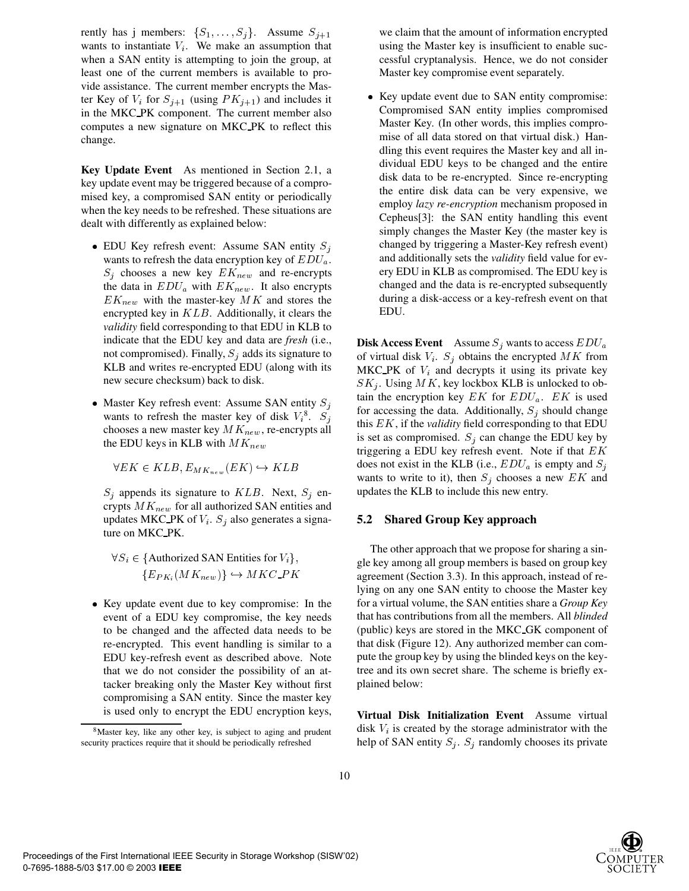rently has j members:  $\{S_1, \ldots, S_j\}$ . Assume  $S_{j+1}$ wants to instantiate  $V_i$ . We make an assumption that when a SAN entity is attempting to join the group, at least one of the current members is available to provide assistance. The current member encrypts the Master Key of  $V_i$  for  $S_{i+1}$  (using  $PK_{i+1}$ ) and includes it in the MKC PK component. The current member also computes a new signature on MKC PK to reflect this change.

**Key Update Event** As mentioned in Section 2.1, a key update event may be triggered because of a compromised key, a compromised SAN entity or periodically when the key needs to be refreshed. These situations are dealt with differently as explained below:

- EDU Key refresh event: Assume SAN entity  $S_j$ wants to refresh the data encryption key of  $EDU_a$ .  $S_j$  chooses a new key  $EK_{new}$  and re-encrypts the data in  $EDU_a$  with  $EK_{new}$ . It also encrypts  $EK_{new}$  with the master-key  $MK$  and stores the encrypted key in KLB. Additionally, it clears the *validity* field corresponding to that EDU in KLB to indicate that the EDU key and data are *fresh* (i.e., not compromised). Finally,  $S_i$  adds its signature to KLB and writes re-encrypted EDU (along with its new secure checksum) back to disk.
- Master Key refresh event: Assume SAN entity  $S_j$ wants to refresh the master key of disk  $V_i^8$ .  $S_j$ chooses a new master key  $MK_{new}$ , re-encrypts all the EDU keys in KLB with  $MK_{new}$

$$
\forall E K \in KLB, E_{MK_{new}}(EK) \hookrightarrow KLB
$$

 $S_j$  appends its signature to  $KLB$ . Next,  $S_j$  encrypts  $MK_{new}$  for all authorized SAN entities and updates MKC\_PK of  $V_i$ .  $S_j$  also generates a signature on MKC PK.

$$
\forall S_i \in \{\text{Authorized SAN Entities for } V_i\},\qquad \text{gle}
$$
  

$$
\{E_{PK_i}(MK_{new})\} \hookrightarrow MKC\_PK
$$

 Key update event due to key compromise: In the event of a EDU key compromise, the key needs to be changed and the affected data needs to be re-encrypted. This event handling is similar to a EDU key-refresh event as described above. Note that we do not consider the possibility of an attacker breaking only the Master Key without first compromising a SAN entity. Since the master key is used only to encrypt the EDU encryption keys,

we claim that the amount of information encrypted using the Master key is insufficient to enable successful cryptanalysis. Hence, we do not consider Master key compromise event separately.

 Key update event due to SAN entity compromise: Compromised SAN entity implies compromised Master Key. (In other words, this implies compromise of all data stored on that virtual disk.) Handling this event requires the Master key and all individual EDU keys to be changed and the entire disk data to be re-encrypted. Since re-encrypting the entire disk data can be very expensive, we employ *lazy re-encryption* mechanism proposed in Cepheus[3]: the SAN entity handling this event simply changes the Master Key (the master key is changed by triggering a Master-Key refresh event) and additionally sets the *validity* field value for every EDU in KLB as compromised. The EDU key is changed and the data is re-encrypted subsequently during a disk-access or a key-refresh event on that EDU.

**Disk Access Event** Assume  $S_j$  wants to access  $EDU_a$ of virtual disk  $V_i$ .  $S_j$  obtains the encrypted MK from MKC PK of  $V_i$  and decrypts it using its private key  $SK_j$ . Using MK, key lockbox KLB is unlocked to obtain the encryption key  $EK$  for  $EDU_a$ .  $EK$  is used for accessing the data. Additionally,  $S_j$  should change this EK, if the *validity* field corresponding to that EDU is set as compromised.  $S_j$  can change the EDU key by triggering a EDU key refresh event. Note if that  $EK$ does not exist in the KLB (i.e.,  $EDU_a$  is empty and  $S_i$ wants to write to it), then  $S_j$  chooses a new EK and updates the KLB to include this new entry.

## **5.2 Shared Group Key approach**

The other approach that we propose for sharing a single key among all group members is based on group key agreement (Section 3.3). In this approach, instead of relying on any one SAN entity to choose the Master key for a virtual volume, the SAN entities share a *Group Key* that has contributions from all the members. All *blinded* (public) keys are stored in the MKC GK component of that disk (Figure 12). Any authorized member can compute the group key by using the blinded keys on the keytree and its own secret share. The scheme is briefly explained below:

**Virtual Disk Initialization Event** Assume virtual disk  $V_i$  is created by the storage administrator with the help of SAN entity  $S_j$ .  $S_j$  randomly chooses its private



<sup>&</sup>lt;sup>8</sup>Master key, like any other key, is subject to aging and prudent security practices require that it should be periodically refreshed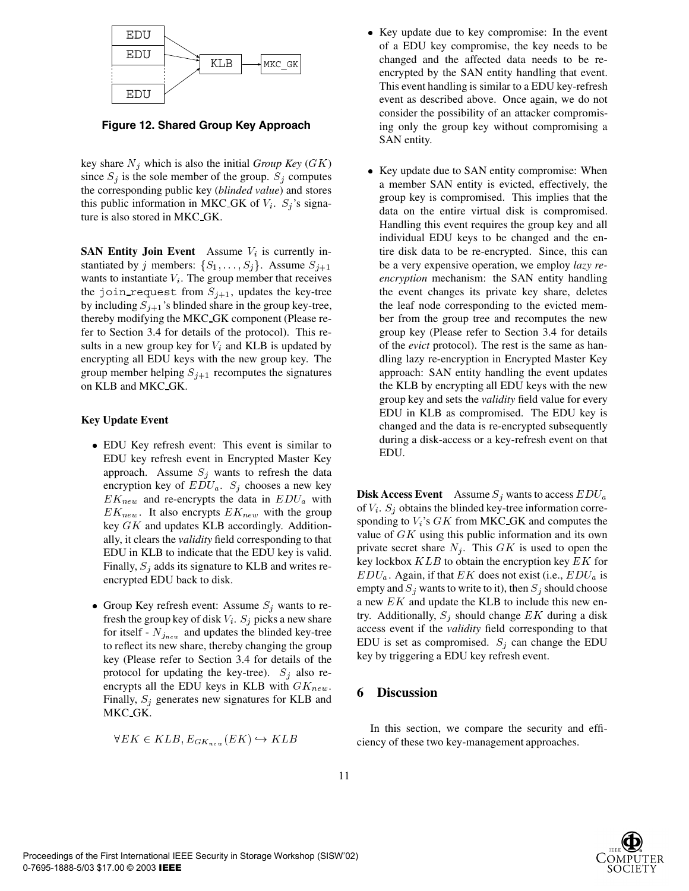

**Figure 12. Shared Group Key Approach**

key share  $N_j$  which is also the initial *Group Key* ( $GK$ ) since  $S_j$  is the sole member of the group.  $S_j$  computes the corresponding public key (*blinded value*) and stores this public information in MKC GK of  $V_i$ .  $S_j$ 's signature is also stored in MKC GK.

**SAN Entity Join Event** Assume  $V_i$  is currently instantiated by j members:  $\{S_1, \ldots, S_j\}$ . Assume  $S_{j+1}$ wants to instantiate  $V_i$ . The group member that receives the join request from  $S_{j+1}$ , updates the key-tree by including  $S_{j+1}$ 's blinded share in the group key-tree, thereby modifying the MKC GK component (Please refer to Section 3.4 for details of the protocol). This results in a new group key for  $V_i$  and KLB is updated by encrypting all EDU keys with the new group key. The group member helping  $S_{j+1}$  recomputes the signatures on KLB and MKC GK.

#### **Key Update Event**

- EDU Key refresh event: This event is similar to EDU key refresh event in Encrypted Master Key approach. Assume  $S_i$  wants to refresh the data encryption key of  $EDU_a$ .  $S_j$  chooses a new key  $EK_{new}$  and re-encrypts the data in  $EDU_a$  with  $EK_{new}$ . It also encrypts  $EK_{new}$  with the group key GK and updates KLB accordingly. Additionally, it clears the *validity* field corresponding to that EDU in KLB to indicate that the EDU key is valid. Finally,  $S_i$  adds its signature to KLB and writes reencrypted EDU back to disk.
- Group Key refresh event: Assume  $S_i$  wants to refresh the group key of disk  $V_i$ .  $S_j$  picks a new share for itself -  $N_{j_{new}}$  and updates the blinded key-tree to reflect its new share, thereby changing the group key (Please refer to Section 3.4 for details of the protocol for updating the key-tree).  $S_j$  also reencrypts all the EDU keys in KLB with  $GK_{new}$ . Finally,  $S_i$  generates new signatures for KLB and MKC GK.

$$
\forall E K \in KLB, E_{GK_{new}}(EK) \hookrightarrow KLB
$$

- Key update due to key compromise: In the event of a EDU key compromise, the key needs to be changed and the affected data needs to be reencrypted by the SAN entity handling that event. This event handling is similar to a EDU key-refresh event as described above. Once again, we do not consider the possibility of an attacker compromising only the group key without compromising a SAN entity.
- Key update due to SAN entity compromise: When a member SAN entity is evicted, effectively, the group key is compromised. This implies that the data on the entire virtual disk is compromised. Handling this event requires the group key and all individual EDU keys to be changed and the entire disk data to be re-encrypted. Since, this can be a very expensive operation, we employ *lazy reencryption* mechanism: the SAN entity handling the event changes its private key share, deletes the leaf node corresponding to the evicted member from the group tree and recomputes the new group key (Please refer to Section 3.4 for details of the *evict* protocol). The rest is the same as handling lazy re-encryption in Encrypted Master Key approach: SAN entity handling the event updates the KLB by encrypting all EDU keys with the new group key and sets the *validity* field value for every EDU in KLB as compromised. The EDU key is changed and the data is re-encrypted subsequently during a disk-access or a key-refresh event on that EDU.

**Disk Access Event** Assume  $S_j$  wants to access  $EDU_a$ of  $V_i$ .  $S_j$  obtains the blinded key-tree information corresponding to  $V_i$ 's  $GK$  from MKC GK and computes the value of  $GK$  using this public information and its own private secret share  $N_j$ . This  $GK$  is used to open the key lockbox  $KLB$  to obtain the encryption key  $EK$  for  $EDU_a$ . Again, if that EK does not exist (i.e.,  $EDU_a$  is empty and  $S_i$  wants to write to it), then  $S_i$  should choose a new  $EK$  and update the KLB to include this new entry. Additionally,  $S_i$  should change EK during a disk access event if the *validity* field corresponding to that EDU is set as compromised.  $S_j$  can change the EDU key by triggering a EDU key refresh event.

### **6 Discussion**

In this section, we compare the security and efficiency of these two key-management approaches.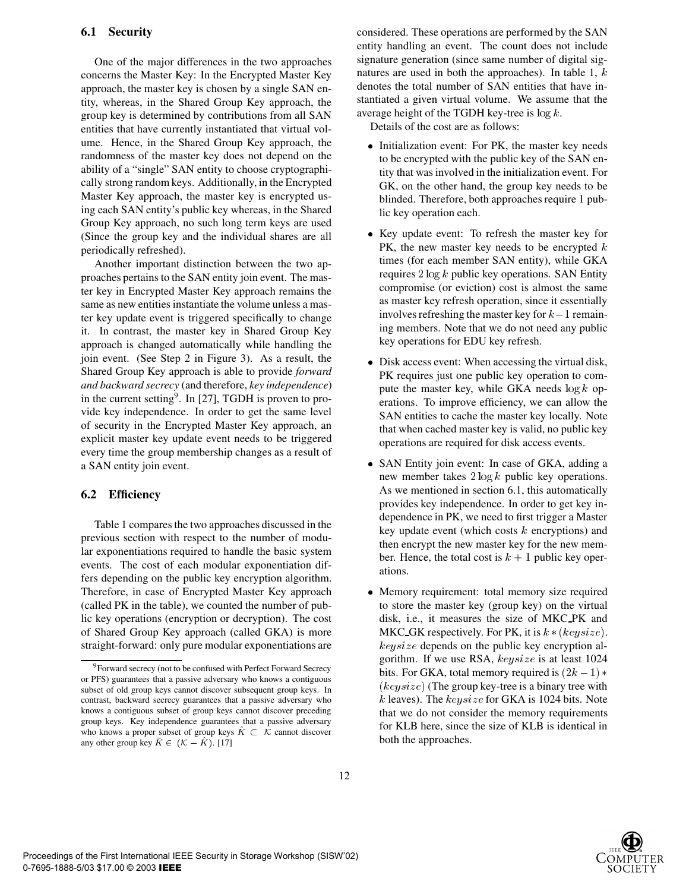### **6.1 Security**

One of the major differences in the two approaches concerns the Master Key: In the Encrypted Master Key approach, the master key is chosen by a single SAN entity, whereas, in the Shared Group Key approach, the group key is determined by contributions from all SAN entities that have currently instantiated that virtual volume. Hence, in the Shared Group Key approach, the randomness of the master key does not depend on the ability of a "single" SAN entity to choose cryptographically strong random keys. Additionally, in the Encrypted Master Key approach, the master key is encrypted using each SAN entity's public key whereas, in the Shared Group Key approach, no such long term keys are used (Since the group key and the individual shares are all periodically refreshed).

Another important distinction between the two approaches pertains to the SAN entity join event. The master key in Encrypted Master Key approach remains the same as new entities instantiate the volume unless a master key update event is triggered specifically to change it. In contrast, the master key in Shared Group Key approach is changed automatically while handling the join event. (See Step 2 in Figure 3). As a result, the Shared Group Key approach is able to provide *forward and backward secrecy* (and therefore, *key independence*) in the current setting<sup>9</sup>. In [27], TGDH is proven to provide key independence. In order to get the same level of security in the Encrypted Master Key approach, an explicit master key update event needs to be triggered every time the group membership changes as a result of a SAN entity join event.

#### **6.2 Efficiency**

Table 1 compares the two approaches discussed in the previous section with respect to the number of modular exponentiations required to handle the basic system events. The cost of each modular exponentiation differs depending on the public key encryption algorithm. Therefore, in case of Encrypted Master Key approach (called PK in the table), we counted the number of public key operations (encryption or decryption). The cost of Shared Group Key approach (called GKA) is more straight-forward: only pure modular exponentiations are

considered. These operations are performed by the SAN entity handling an event. The count does not include signature generation (since same number of digital signatures are used in both the approaches). In table  $1, k$ denotes the total number of SAN entities that have instantiated a given virtual volume. We assume that the average height of the TGDH key-tree is  $\log k$ .

Details of the cost are as follows:

- Initialization event: For PK, the master key needs to be encrypted with the public key of the SAN entity that was involved in the initialization event. For GK, on the other hand, the group key needs to be blinded. Therefore, both approaches require 1 public key operation each.
- Key update event: To refresh the master key for PK, the new master key needs to be encrypted  $k$ times (for each member SAN entity), while GKA requires  $2 \log k$  public key operations. SAN Entity compromise (or eviction) cost is almost the same as master key refresh operation, since it essentially involves refreshing the master key for  $k-1$  remaining members. Note that we do not need any public key operations for EDU key refresh.
- Disk access event: When accessing the virtual disk, PK requires just one public key operation to compute the master key, while GKA needs  $\log k$  operations. To improve efficiency, we can allow the SAN entities to cache the master key locally. Note that when cached master key is valid, no public key operations are required for disk access events.
- SAN Entity join event: In case of GKA, adding a new member takes  $2 \log k$  public key operations. As we mentioned in section 6.1, this automatically provides key independence. In order to get key independence in PK, we need to first trigger a Master key update event (which costs  $k$  encryptions) and then encrypt the new master key for the new member. Hence, the total cost is  $k + 1$  public key operations.
- Memory requirement: total memory size required to store the master key (group key) on the virtual disk, i.e., it measures the size of MKC PK and MKC GK respectively. For PK, it is  $k * (keysize)$ . keysize depends on the public key encryption algorithm. If we use RSA, keysize is at least 1024 bits. For GKA, total memory required is  $(2k - 1)$  \*  $(keysize)$  (The group key-tree is a binary tree with  $k$  leaves). The  $keysize$  for GKA is 1024 bits. Note that we do not consider the memory requirements for KLB here, since the size of KLB is identical in both the approaches.

<sup>9</sup>Forward secrecy (not to be confused with Perfect Forward Secrecy or PFS) guarantees that a passive adversary who knows a contiguous subset of old group keys cannot discover subsequent group keys. In contrast, backward secrecy guarantees that a passive adversary who knows a contiguous subset of group keys cannot discover preceding group keys. Key independence guarantees that a passive adversary who knows a proper subset of group keys  $K \subset \mathcal{K}$  cannot discover any other group key  $\bar{K} \in (\mathcal{K} - \hat{K})$ . [17]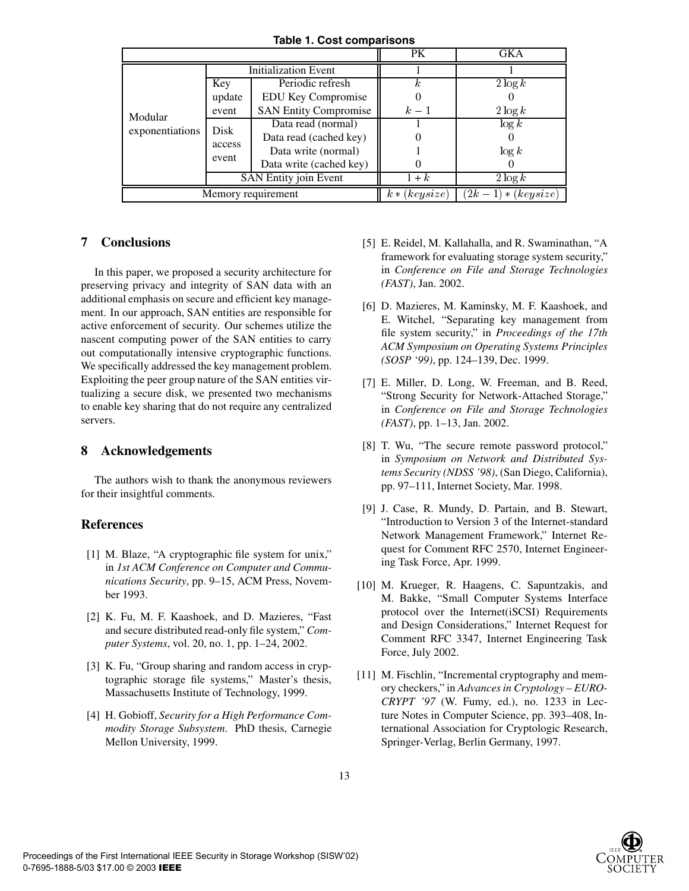|                            |                              |                              | <b>PK</b>       | GKA                          |
|----------------------------|------------------------------|------------------------------|-----------------|------------------------------|
| Modular<br>exponentiations | <b>Initialization Event</b>  |                              |                 |                              |
|                            | Key                          | Periodic refresh             |                 | $2 \log k$                   |
|                            | update                       | EDU Key Compromise           |                 |                              |
|                            | event                        | <b>SAN Entity Compromise</b> | $k-1$           | $2 \log k$                   |
|                            | Disk                         | Data read (normal)           |                 | $\log k$                     |
|                            |                              | Data read (cached key)       |                 |                              |
|                            | access                       | Data write (normal)          |                 | $\log k$                     |
|                            | event                        | Data write (cached key)      |                 |                              |
|                            | <b>SAN Entity join Event</b> |                              | $1+k$           | $2 \log k$                   |
| Memory requirement         |                              |                              | $k * (keysize)$ | $(2k-1)$<br>$\ast$ (keysize) |

**Table 1. Cost comparisons**

# **7 Conclusions**

In this paper, we proposed a security architecture for preserving privacy and integrity of SAN data with an additional emphasis on secure and efficient key management. In our approach, SAN entities are responsible for active enforcement of security. Our schemes utilize the nascent computing power of the SAN entities to carry out computationally intensive cryptographic functions. We specifically addressed the key management problem. Exploiting the peer group nature of the SAN entities virtualizing a secure disk, we presented two mechanisms to enable key sharing that do not require any centralized servers.

# **8 Acknowledgements**

The authors wish to thank the anonymous reviewers for their insightful comments.

## **References**

- [1] M. Blaze, "A cryptographic file system for unix," in *1st ACM Conference on Computer and Communications Security*, pp. 9–15, ACM Press, November 1993.
- [2] K. Fu, M. F. Kaashoek, and D. Mazieres, "Fast and secure distributed read-only file system," *Computer Systems*, vol. 20, no. 1, pp. 1–24, 2002.
- [3] K. Fu, "Group sharing and random access in cryptographic storage file systems," Master's thesis, Massachusetts Institute of Technology, 1999.
- [4] H. Gobioff, *Security for a High Performance Commodity Storage Subsystem*. PhD thesis, Carnegie Mellon University, 1999.
- [5] E. Reidel, M. Kallahalla, and R. Swaminathan, "A framework for evaluating storage system security," in *Conference on File and Storage Technologies (FAST)*, Jan. 2002.
- [6] D. Mazieres, M. Kaminsky, M. F. Kaashoek, and E. Witchel, "Separating key management from file system security," in *Proceedings of the 17th ACM Symposium on Operating Systems Principles (SOSP '99)*, pp. 124–139, Dec. 1999.
- [7] E. Miller, D. Long, W. Freeman, and B. Reed, "Strong Security for Network-Attached Storage," in *Conference on File and Storage Technologies (FAST)*, pp. 1–13, Jan. 2002.
- [8] T. Wu, "The secure remote password protocol," in *Symposium on Network and Distributed Systems Security (NDSS '98)*, (San Diego, California), pp. 97–111, Internet Society, Mar. 1998.
- [9] J. Case, R. Mundy, D. Partain, and B. Stewart, "Introduction to Version 3 of the Internet-standard Network Management Framework," Internet Request for Comment RFC 2570, Internet Engineering Task Force, Apr. 1999.
- [10] M. Krueger, R. Haagens, C. Sapuntzakis, and M. Bakke, "Small Computer Systems Interface protocol over the Internet(iSCSI) Requirements and Design Considerations," Internet Request for Comment RFC 3347, Internet Engineering Task Force, July 2002.
- [11] M. Fischlin, "Incremental cryptography and memory checkers," in *Advances in Cryptology – EURO-CRYPT '97* (W. Fumy, ed.), no. 1233 in Lecture Notes in Computer Science, pp. 393–408, International Association for Cryptologic Research, Springer-Verlag, Berlin Germany, 1997.